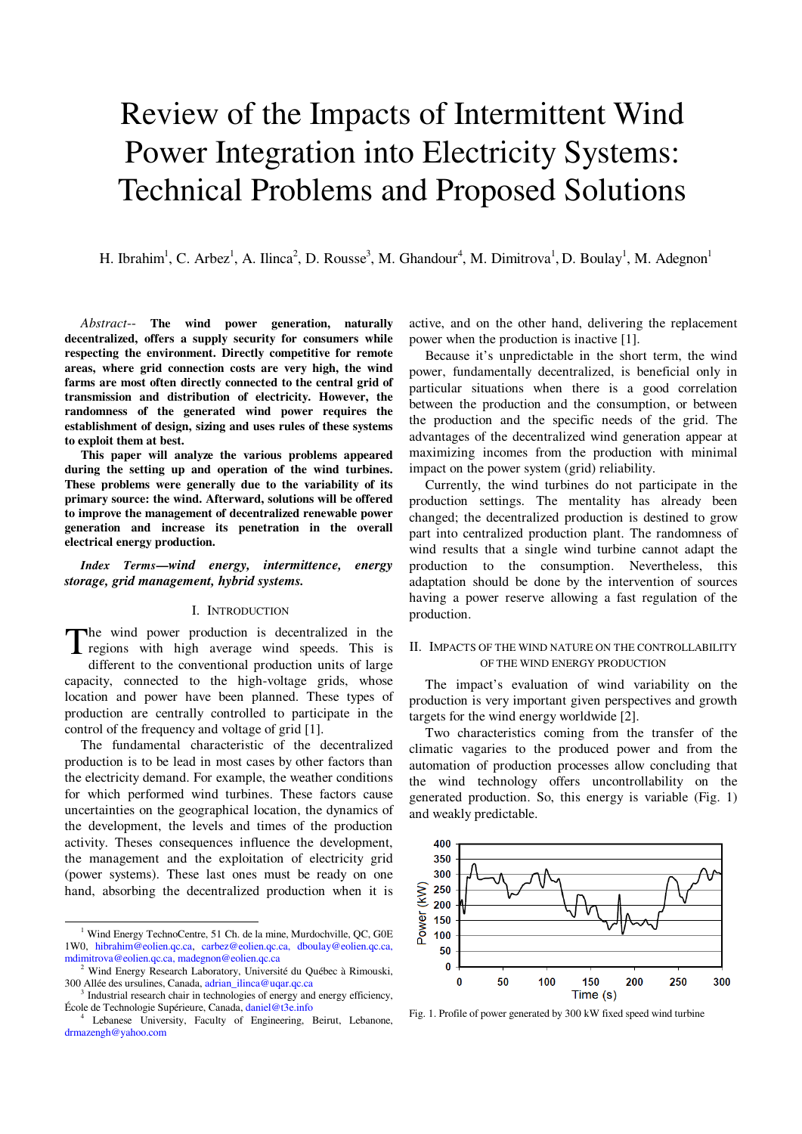# Review of the Impacts of Intermittent Wind Power Integration into Electricity Systems: Technical Problems and Proposed Solutions

H. Ibrahim<sup>1</sup>, C. Arbez<sup>1</sup>, A. Ilinca<sup>2</sup>, D. Rousse<sup>3</sup>, M. Ghandour<sup>4</sup>, M. Dimitrova<sup>1</sup>, D. Boulay<sup>1</sup>, M. Adegnon<sup>1</sup>

*Abstract*-- **The wind power generation, naturally decentralized, offers a supply security for consumers while respecting the environment. Directly competitive for remote areas, where grid connection costs are very high, the wind farms are most often directly connected to the central grid of transmission and distribution of electricity. However, the randomness of the generated wind power requires the establishment of design, sizing and uses rules of these systems to exploit them at best.** 

**This paper will analyze the various problems appeared during the setting up and operation of the wind turbines. These problems were generally due to the variability of its primary source: the wind. Afterward, solutions will be offered to improve the management of decentralized renewable power generation and increase its penetration in the overall electrical energy production.** 

*Index Terms***—***wind energy, intermittence, energy storage, grid management, hybrid systems.*

#### I. INTRODUCTION

he wind power production is decentralized in the The wind power production is decentralized in the regions with high average wind speeds. This is different to the conventional production units of large capacity, connected to the high-voltage grids, whose location and power have been planned. These types of production are centrally controlled to participate in the control of the frequency and voltage of grid [1].

The fundamental characteristic of the decentralized production is to be lead in most cases by other factors than the electricity demand. For example, the weather conditions for which performed wind turbines. These factors cause uncertainties on the geographical location, the dynamics of the development, the levels and times of the production activity. Theses consequences influence the development, the management and the exploitation of electricity grid (power systems). These last ones must be ready on one hand, absorbing the decentralized production when it is

-

active, and on the other hand, delivering the replacement power when the production is inactive [1].

Because it's unpredictable in the short term, the wind power, fundamentally decentralized, is beneficial only in particular situations when there is a good correlation between the production and the consumption, or between the production and the specific needs of the grid. The advantages of the decentralized wind generation appear at maximizing incomes from the production with minimal impact on the power system (grid) reliability.

Currently, the wind turbines do not participate in the production settings. The mentality has already been changed; the decentralized production is destined to grow part into centralized production plant. The randomness of wind results that a single wind turbine cannot adapt the production to the consumption. Nevertheless, this adaptation should be done by the intervention of sources having a power reserve allowing a fast regulation of the production.

#### II. IMPACTS OF THE WIND NATURE ON THE CONTROLLABILITY OF THE WIND ENERGY PRODUCTION

The impact's evaluation of wind variability on the production is very important given perspectives and growth targets for the wind energy worldwide [2].

Two characteristics coming from the transfer of the climatic vagaries to the produced power and from the automation of production processes allow concluding that the wind technology offers uncontrollability on the generated production. So, this energy is variable (Fig. 1) and weakly predictable.



Fig. 1. Profile of power generated by 300 kW fixed speed wind turbine

<sup>&</sup>lt;sup>1</sup> Wind Energy TechnoCentre, 51 Ch. de la mine, Murdochville, QC, G0E 1W0, hibrahim@eolien.qc.ca, carbez@eolien.qc.ca, dboulay@eolien.qc.ca, mdimitrova@eolien.qc.ca, madegnon@eolien.qc.ca

<sup>2</sup> Wind Energy Research Laboratory, Université du Québec à Rimouski, 300 Allée des ursulines, Canada, adrian\_ilinca@uqar.qc.ca

<sup>&</sup>lt;sup>3</sup> Industrial research chair in technologies of energy and energy efficiency, École de Technologie Supérieure, Canada, daniel@t3e.info 4

Lebanese University, Faculty of Engineering, Beirut, Lebanone, drmazengh@yahoo.com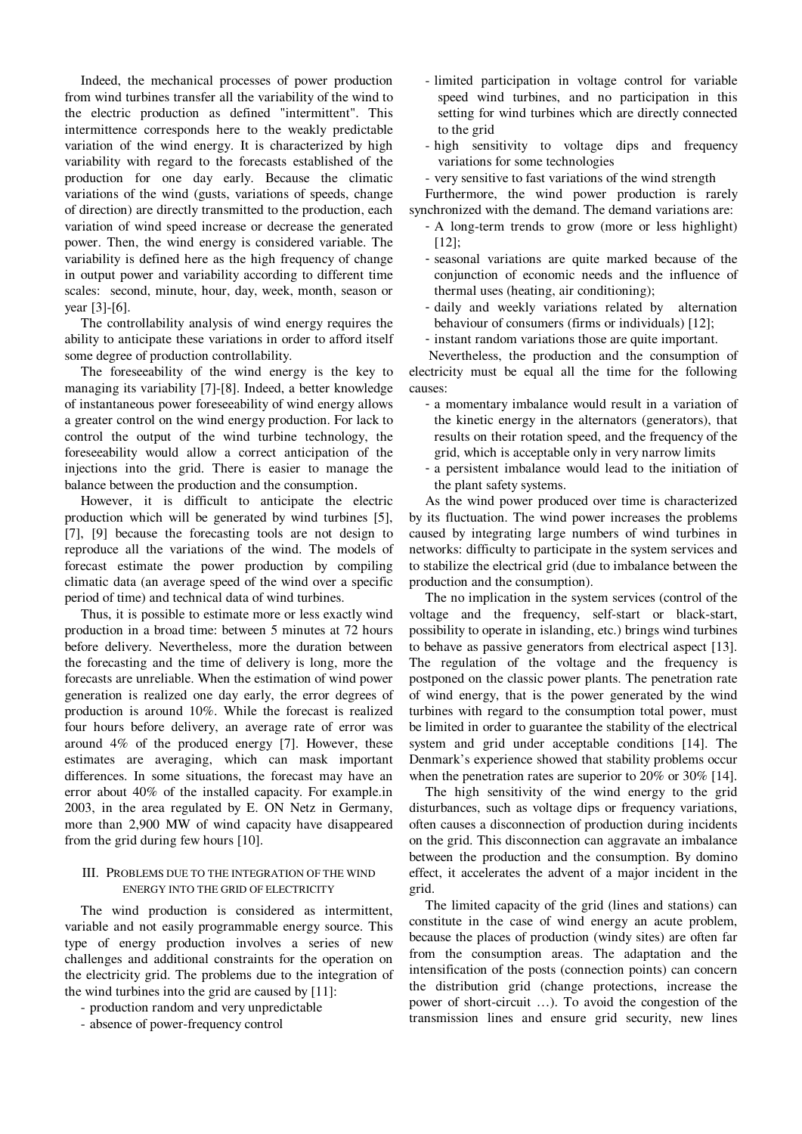Indeed, the mechanical processes of power production from wind turbines transfer all the variability of the wind to the electric production as defined "intermittent". This intermittence corresponds here to the weakly predictable variation of the wind energy. It is characterized by high variability with regard to the forecasts established of the production for one day early. Because the climatic variations of the wind (gusts, variations of speeds, change of direction) are directly transmitted to the production, each variation of wind speed increase or decrease the generated power. Then, the wind energy is considered variable. The variability is defined here as the high frequency of change in output power and variability according to different time scales: second, minute, hour, day, week, month, season or year [3]-[6].

The controllability analysis of wind energy requires the ability to anticipate these variations in order to afford itself some degree of production controllability.

The foreseeability of the wind energy is the key to managing its variability [7]-[8]. Indeed, a better knowledge of instantaneous power foreseeability of wind energy allows a greater control on the wind energy production. For lack to control the output of the wind turbine technology, the foreseeability would allow a correct anticipation of the injections into the grid. There is easier to manage the balance between the production and the consumption.

However, it is difficult to anticipate the electric production which will be generated by wind turbines [5], [7], [9] because the forecasting tools are not design to reproduce all the variations of the wind. The models of forecast estimate the power production by compiling climatic data (an average speed of the wind over a specific period of time) and technical data of wind turbines.

Thus, it is possible to estimate more or less exactly wind production in a broad time: between 5 minutes at 72 hours before delivery. Nevertheless, more the duration between the forecasting and the time of delivery is long, more the forecasts are unreliable. When the estimation of wind power generation is realized one day early, the error degrees of production is around 10%. While the forecast is realized four hours before delivery, an average rate of error was around 4% of the produced energy [7]. However, these estimates are averaging, which can mask important differences. In some situations, the forecast may have an error about 40% of the installed capacity. For example.in 2003, in the area regulated by E. ON Netz in Germany, more than 2,900 MW of wind capacity have disappeared from the grid during few hours [10].

## III. PROBLEMS DUE TO THE INTEGRATION OF THE WIND ENERGY INTO THE GRID OF ELECTRICITY

The wind production is considered as intermittent, variable and not easily programmable energy source. This type of energy production involves a series of new challenges and additional constraints for the operation on the electricity grid. The problems due to the integration of the wind turbines into the grid are caused by [11]:

- production random and very unpredictable
- absence of power-frequency control
- limited participation in voltage control for variable speed wind turbines, and no participation in this setting for wind turbines which are directly connected to the grid
- high sensitivity to voltage dips and frequency variations for some technologies
- very sensitive to fast variations of the wind strength

Furthermore, the wind power production is rarely synchronized with the demand. The demand variations are:

- A long-term trends to grow (more or less highlight) [12]:
- seasonal variations are quite marked because of the conjunction of economic needs and the influence of thermal uses (heating, air conditioning);
- daily and weekly variations related by alternation behaviour of consumers (firms or individuals) [12];
- instant random variations those are quite important.

 Nevertheless, the production and the consumption of electricity must be equal all the time for the following causes:

- a momentary imbalance would result in a variation of the kinetic energy in the alternators (generators), that results on their rotation speed, and the frequency of the grid, which is acceptable only in very narrow limits
- a persistent imbalance would lead to the initiation of the plant safety systems.

As the wind power produced over time is characterized by its fluctuation. The wind power increases the problems caused by integrating large numbers of wind turbines in networks: difficulty to participate in the system services and to stabilize the electrical grid (due to imbalance between the production and the consumption).

The no implication in the system services (control of the voltage and the frequency, self-start or black-start, possibility to operate in islanding, etc.) brings wind turbines to behave as passive generators from electrical aspect [13]. The regulation of the voltage and the frequency is postponed on the classic power plants. The penetration rate of wind energy, that is the power generated by the wind turbines with regard to the consumption total power, must be limited in order to guarantee the stability of the electrical system and grid under acceptable conditions [14]. The Denmark's experience showed that stability problems occur when the penetration rates are superior to 20% or 30% [14].

The high sensitivity of the wind energy to the grid disturbances, such as voltage dips or frequency variations, often causes a disconnection of production during incidents on the grid. This disconnection can aggravate an imbalance between the production and the consumption. By domino effect, it accelerates the advent of a major incident in the grid.

The limited capacity of the grid (lines and stations) can constitute in the case of wind energy an acute problem, because the places of production (windy sites) are often far from the consumption areas. The adaptation and the intensification of the posts (connection points) can concern the distribution grid (change protections, increase the power of short-circuit …). To avoid the congestion of the transmission lines and ensure grid security, new lines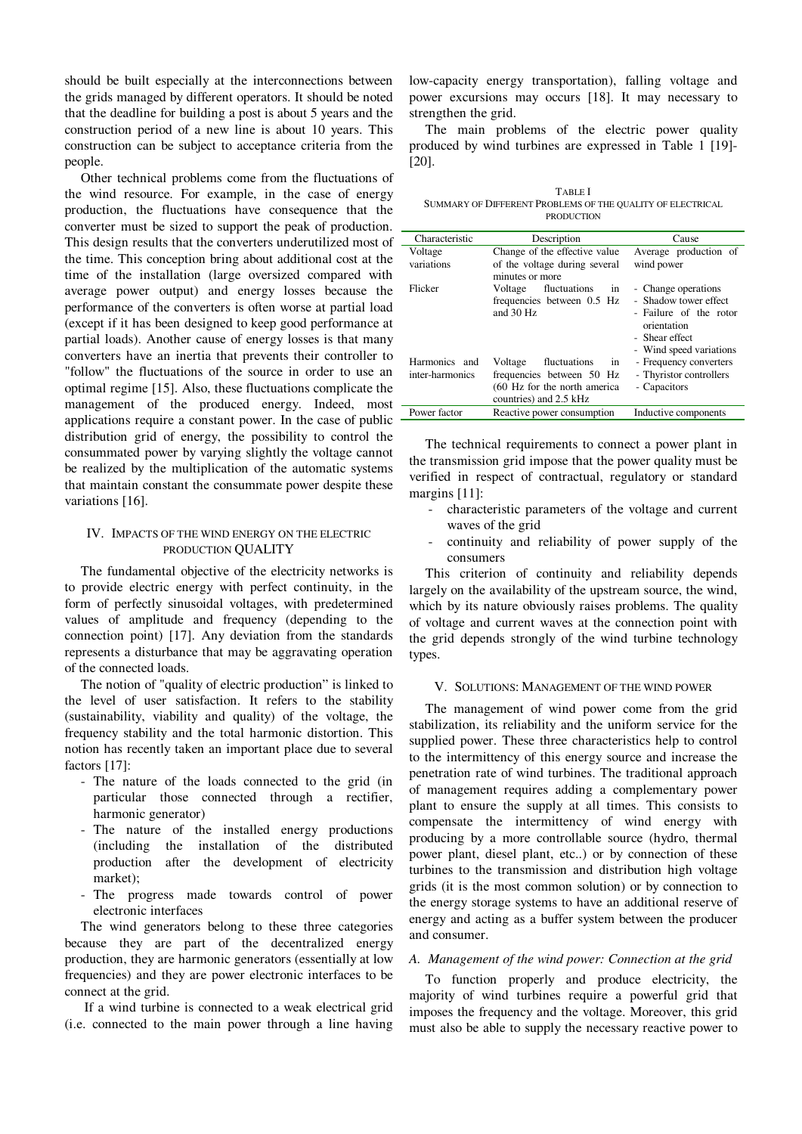should be built especially at the interconnections between the grids managed by different operators. It should be noted that the deadline for building a post is about 5 years and the construction period of a new line is about 10 years. This construction can be subject to acceptance criteria from the people.

Other technical problems come from the fluctuations of the wind resource. For example, in the case of energy production, the fluctuations have consequence that the converter must be sized to support the peak of production. This design results that the converters underutilized most of the time. This conception bring about additional cost at the time of the installation (large oversized compared with average power output) and energy losses because the performance of the converters is often worse at partial load (except if it has been designed to keep good performance at partial loads). Another cause of energy losses is that many converters have an inertia that prevents their controller to "follow" the fluctuations of the source in order to use an optimal regime [15]. Also, these fluctuations complicate the management of the produced energy. Indeed, most applications require a constant power. In the case of public distribution grid of energy, the possibility to control the consummated power by varying slightly the voltage cannot be realized by the multiplication of the automatic systems that maintain constant the consummate power despite these variations [16].

# IV. IMPACTS OF THE WIND ENERGY ON THE ELECTRIC PRODUCTION QUALITY

The fundamental objective of the electricity networks is to provide electric energy with perfect continuity, in the form of perfectly sinusoidal voltages, with predetermined values of amplitude and frequency (depending to the connection point) [17]. Any deviation from the standards represents a disturbance that may be aggravating operation of the connected loads.

The notion of "quality of electric production" is linked to the level of user satisfaction. It refers to the stability (sustainability, viability and quality) of the voltage, the frequency stability and the total harmonic distortion. This notion has recently taken an important place due to several factors [17]:

- The nature of the loads connected to the grid (in particular those connected through a rectifier, harmonic generator)
- The nature of the installed energy productions (including the installation of the distributed production after the development of electricity market);
- The progress made towards control of power electronic interfaces

The wind generators belong to these three categories because they are part of the decentralized energy production, they are harmonic generators (essentially at low frequencies) and they are power electronic interfaces to be connect at the grid.

 If a wind turbine is connected to a weak electrical grid (i.e. connected to the main power through a line having

low-capacity energy transportation), falling voltage and power excursions may occurs [18]. It may necessary to strengthen the grid.

The main problems of the electric power quality produced by wind turbines are expressed in Table 1 [19]- [20].

TABLE I SUMMARY OF DIFFERENT PROBLEMS OF THE QUALITY OF ELECTRICAL PRODUCTION

| Characteristic                   | Description                                                                                                          | Cause                                                                                                                              |
|----------------------------------|----------------------------------------------------------------------------------------------------------------------|------------------------------------------------------------------------------------------------------------------------------------|
| Voltage<br>variations            | Change of the effective value<br>of the voltage during several<br>minutes or more                                    | Average production of<br>wind power                                                                                                |
| Flicker                          | fluctuations<br>Voltage<br>in<br>frequencies between 0.5 Hz<br>and $30$ Hz                                           | - Change operations<br>- Shadow tower effect<br>- Failure of the rotor<br>orientation<br>- Shear effect<br>- Wind speed variations |
| Harmonics and<br>inter-harmonics | fluctuations<br>Voltage<br>in<br>frequencies between 50 Hz<br>(60 Hz for the north america<br>countries) and 2.5 kHz | - Frequency converters<br>- Thyristor controllers<br>- Capacitors                                                                  |
| Power factor                     | Reactive power consumption                                                                                           | Inductive components                                                                                                               |

The technical requirements to connect a power plant in the transmission grid impose that the power quality must be verified in respect of contractual, regulatory or standard margins [11]:

- characteristic parameters of the voltage and current waves of the grid
- continuity and reliability of power supply of the consumers

This criterion of continuity and reliability depends largely on the availability of the upstream source, the wind, which by its nature obviously raises problems. The quality of voltage and current waves at the connection point with the grid depends strongly of the wind turbine technology types.

### V. SOLUTIONS: MANAGEMENT OF THE WIND POWER

The management of wind power come from the grid stabilization, its reliability and the uniform service for the supplied power. These three characteristics help to control to the intermittency of this energy source and increase the penetration rate of wind turbines. The traditional approach of management requires adding a complementary power plant to ensure the supply at all times. This consists to compensate the intermittency of wind energy with producing by a more controllable source (hydro, thermal power plant, diesel plant, etc..) or by connection of these turbines to the transmission and distribution high voltage grids (it is the most common solution) or by connection to the energy storage systems to have an additional reserve of energy and acting as a buffer system between the producer and consumer.

### *A. Management of the wind power: Connection at the grid*

To function properly and produce electricity, the majority of wind turbines require a powerful grid that imposes the frequency and the voltage. Moreover, this grid must also be able to supply the necessary reactive power to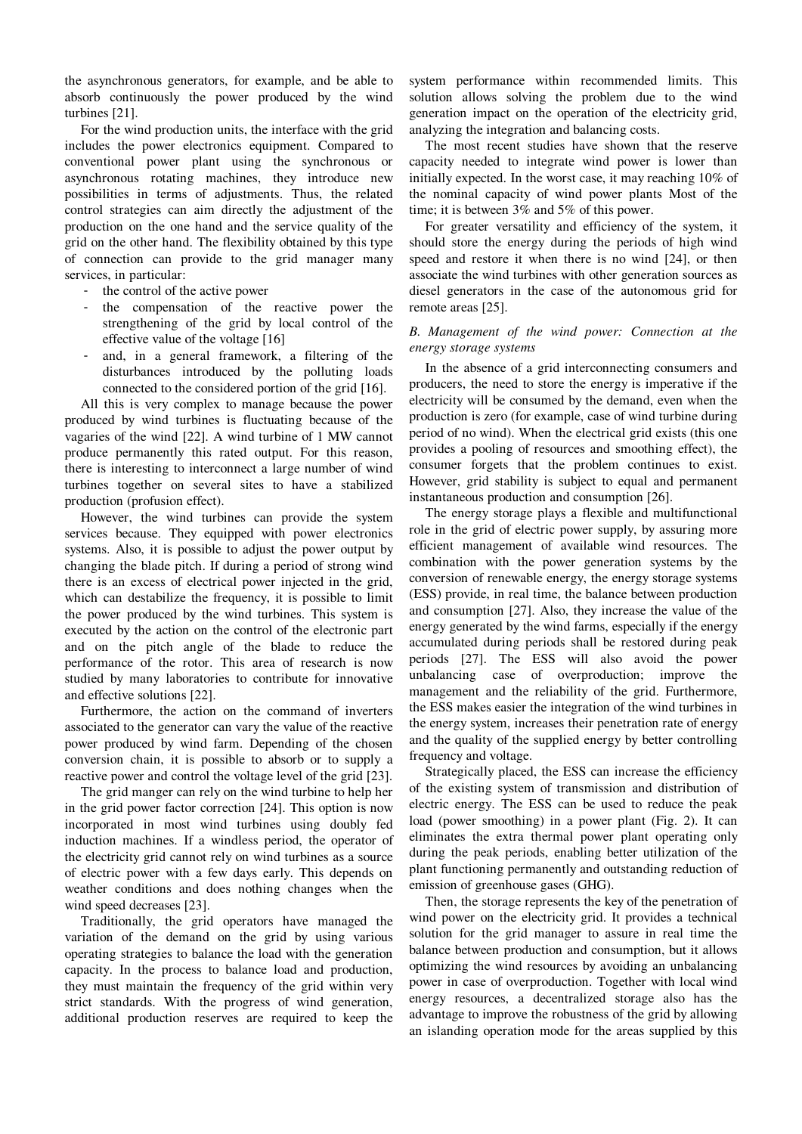the asynchronous generators, for example, and be able to absorb continuously the power produced by the wind turbines [21].

For the wind production units, the interface with the grid includes the power electronics equipment. Compared to conventional power plant using the synchronous or asynchronous rotating machines, they introduce new possibilities in terms of adjustments. Thus, the related control strategies can aim directly the adjustment of the production on the one hand and the service quality of the grid on the other hand. The flexibility obtained by this type of connection can provide to the grid manager many services, in particular:

- the control of the active power
- the compensation of the reactive power the strengthening of the grid by local control of the effective value of the voltage [16]
- and, in a general framework, a filtering of the disturbances introduced by the polluting loads connected to the considered portion of the grid [16].

All this is very complex to manage because the power produced by wind turbines is fluctuating because of the vagaries of the wind [22]. A wind turbine of 1 MW cannot produce permanently this rated output. For this reason, there is interesting to interconnect a large number of wind turbines together on several sites to have a stabilized production (profusion effect).

However, the wind turbines can provide the system services because. They equipped with power electronics systems. Also, it is possible to adjust the power output by changing the blade pitch. If during a period of strong wind there is an excess of electrical power injected in the grid, which can destabilize the frequency, it is possible to limit the power produced by the wind turbines. This system is executed by the action on the control of the electronic part and on the pitch angle of the blade to reduce the performance of the rotor. This area of research is now studied by many laboratories to contribute for innovative and effective solutions [22].

Furthermore, the action on the command of inverters associated to the generator can vary the value of the reactive power produced by wind farm. Depending of the chosen conversion chain, it is possible to absorb or to supply a reactive power and control the voltage level of the grid [23].

The grid manger can rely on the wind turbine to help her in the grid power factor correction [24]. This option is now incorporated in most wind turbines using doubly fed induction machines. If a windless period, the operator of the electricity grid cannot rely on wind turbines as a source of electric power with a few days early. This depends on weather conditions and does nothing changes when the wind speed decreases [23].

Traditionally, the grid operators have managed the variation of the demand on the grid by using various operating strategies to balance the load with the generation capacity. In the process to balance load and production, they must maintain the frequency of the grid within very strict standards. With the progress of wind generation, additional production reserves are required to keep the system performance within recommended limits. This solution allows solving the problem due to the wind generation impact on the operation of the electricity grid, analyzing the integration and balancing costs.

The most recent studies have shown that the reserve capacity needed to integrate wind power is lower than initially expected. In the worst case, it may reaching 10% of the nominal capacity of wind power plants Most of the time; it is between 3% and 5% of this power.

For greater versatility and efficiency of the system, it should store the energy during the periods of high wind speed and restore it when there is no wind [24], or then associate the wind turbines with other generation sources as diesel generators in the case of the autonomous grid for remote areas [25].

# *B. Management of the wind power: Connection at the energy storage systems*

In the absence of a grid interconnecting consumers and producers, the need to store the energy is imperative if the electricity will be consumed by the demand, even when the production is zero (for example, case of wind turbine during period of no wind). When the electrical grid exists (this one provides a pooling of resources and smoothing effect), the consumer forgets that the problem continues to exist. However, grid stability is subject to equal and permanent instantaneous production and consumption [26].

The energy storage plays a flexible and multifunctional role in the grid of electric power supply, by assuring more efficient management of available wind resources. The combination with the power generation systems by the conversion of renewable energy, the energy storage systems (ESS) provide, in real time, the balance between production and consumption [27]. Also, they increase the value of the energy generated by the wind farms, especially if the energy accumulated during periods shall be restored during peak periods [27]. The ESS will also avoid the power unbalancing case of overproduction; improve the management and the reliability of the grid. Furthermore, the ESS makes easier the integration of the wind turbines in the energy system, increases their penetration rate of energy and the quality of the supplied energy by better controlling frequency and voltage.

Strategically placed, the ESS can increase the efficiency of the existing system of transmission and distribution of electric energy. The ESS can be used to reduce the peak load (power smoothing) in a power plant (Fig. 2). It can eliminates the extra thermal power plant operating only during the peak periods, enabling better utilization of the plant functioning permanently and outstanding reduction of emission of greenhouse gases (GHG).

Then, the storage represents the key of the penetration of wind power on the electricity grid. It provides a technical solution for the grid manager to assure in real time the balance between production and consumption, but it allows optimizing the wind resources by avoiding an unbalancing power in case of overproduction. Together with local wind energy resources, a decentralized storage also has the advantage to improve the robustness of the grid by allowing an islanding operation mode for the areas supplied by this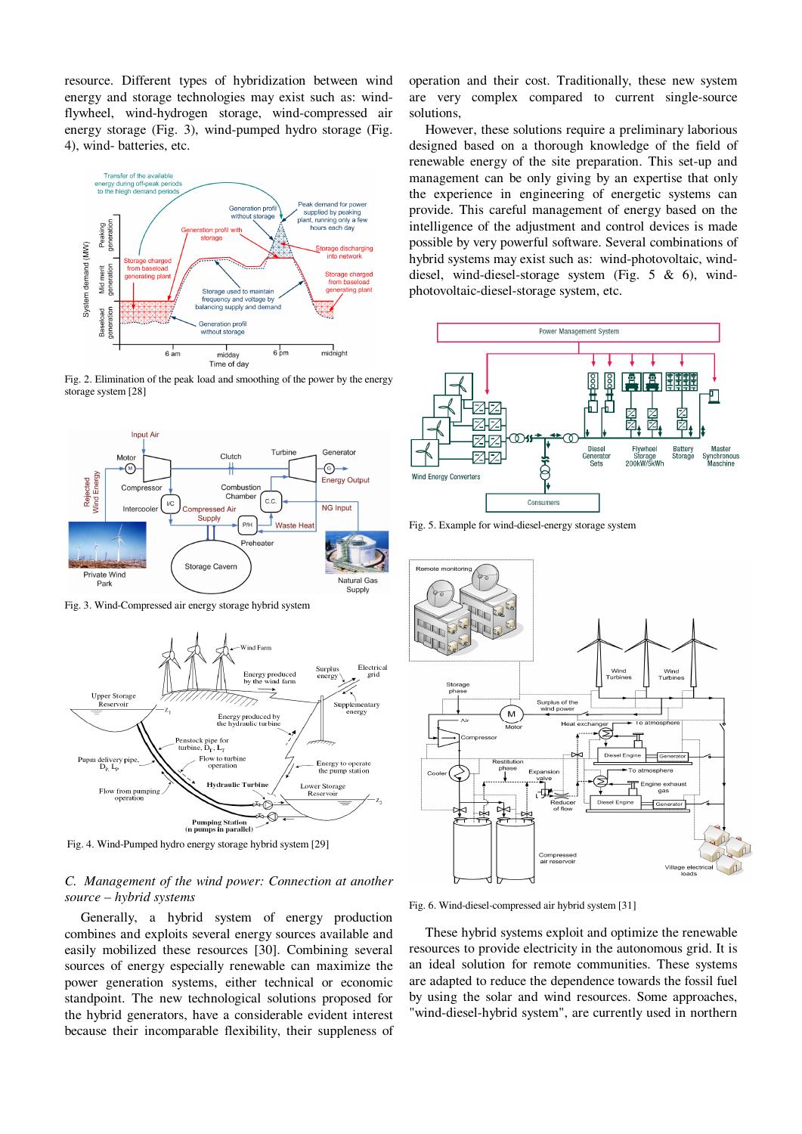resource. Different types of hybridization between wind energy and storage technologies may exist such as: windflywheel, wind-hydrogen storage, wind-compressed air energy storage (Fig. 3), wind-pumped hydro storage (Fig. 4), wind- batteries, etc.



Fig. 2. Elimination of the peak load and smoothing of the power by the energy storage system [28]



Fig. 3. Wind-Compressed air energy storage hybrid system



Fig. 4. Wind-Pumped hydro energy storage hybrid system [29]

## *C. Management of the wind power: Connection at another source – hybrid systems*

Generally, a hybrid system of energy production combines and exploits several energy sources available and easily mobilized these resources [30]. Combining several sources of energy especially renewable can maximize the power generation systems, either technical or economic standpoint. The new technological solutions proposed for the hybrid generators, have a considerable evident interest because their incomparable flexibility, their suppleness of

operation and their cost. Traditionally, these new system are very complex compared to current single-source solutions,

However, these solutions require a preliminary laborious designed based on a thorough knowledge of the field of renewable energy of the site preparation. This set-up and management can be only giving by an expertise that only the experience in engineering of energetic systems can provide. This careful management of energy based on the intelligence of the adjustment and control devices is made possible by very powerful software. Several combinations of hybrid systems may exist such as: wind-photovoltaic, winddiesel, wind-diesel-storage system (Fig. 5 & 6), windphotovoltaic-diesel-storage system, etc.



Fig. 5. Example for wind-diesel-energy storage system



Fig. 6. Wind-diesel-compressed air hybrid system [31]

These hybrid systems exploit and optimize the renewable resources to provide electricity in the autonomous grid. It is an ideal solution for remote communities. These systems are adapted to reduce the dependence towards the fossil fuel by using the solar and wind resources. Some approaches, "wind-diesel-hybrid system", are currently used in northern